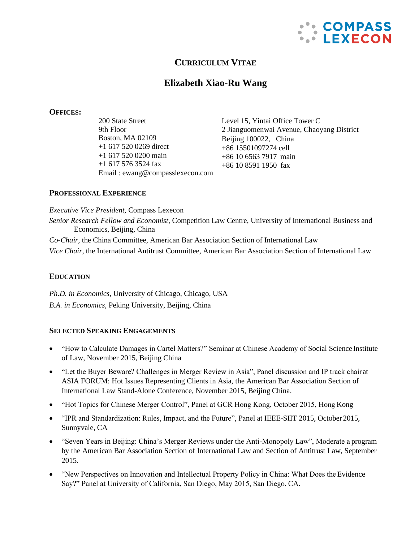

## **CURRICULUM VITAE**

# **Elizabeth Xiao-Ru Wang**

#### **OFFICES:**

200 State Street 9th Floor Boston, MA 02109 +1 617 520 0269 direct +1 617 520 0200 main +1 617 576 3524 fax Email : [ewang@compasslexecon.com](mailto:ewang@compasslexecon.com) Level 15, Yintai Office Tower C 2 Jianguomenwai Avenue, Chaoyang District Beijing 100022, China +86 15501097274 cell +86 10 6563 7917 main +86 10 8591 1950 fax

### **PROFESSIONAL EXPERIENCE**

*Executive Vice President,* Compass Lexecon *Senior Research Fellow and Economist*, Competition Law Centre, University of International Business and Economics, Beijing, China *Co-Chair,* the China Committee, American Bar Association Section of International Law

*Vice Chair*, the International Antitrust Committee, American Bar Association Section of International Law

### **EDUCATION**

*Ph.D. in Economics*, University of Chicago, Chicago, USA *B.A. in Economics,* Peking University, Beijing, China

#### **SELECTED SPEAKING ENGAGEMENTS**

- "How to Calculate Damages in Cartel Matters?" Seminar at Chinese Academy of Social Science Institute of Law, November 2015, Beijing China
- "Let the Buyer Beware? Challenges in Merger Review in Asia", Panel discussion and IP track chairat ASIA FORUM: Hot Issues Representing Clients in Asia, the American Bar Association Section of International Law Stand-Alone Conference, November 2015, Beijing China.
- "Hot Topics for Chinese Merger Control", Panel at GCR Hong Kong, October 2015, Hong Kong
- "IPR and Standardization: Rules, Impact, and the Future", Panel at IEEE-SIIT 2015, October 2015, Sunnyvale, CA
- "Seven Years in Beijing: China's Merger Reviews under the Anti-Monopoly Law", Moderate a program by the American Bar Association Section of International Law and Section of Antitrust Law, September 2015.
- "New Perspectives on Innovation and Intellectual Property Policy in China: What Does the Evidence Say?" Panel at University of California, San Diego, May 2015, San Diego, CA.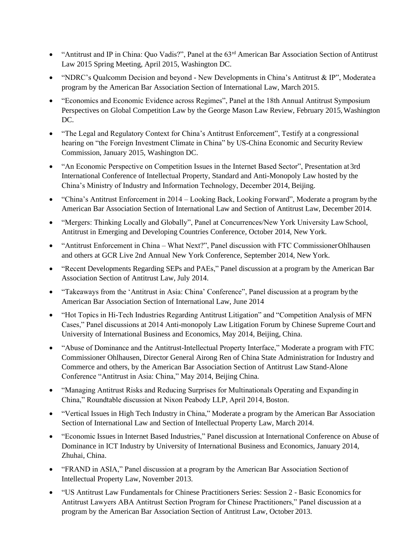- "Antitrust and IP in China: Quo Vadis?", Panel at the 63<sup>rd</sup> American Bar Association Section of Antitrust Law 2015 Spring Meeting, April 2015, Washington DC.
- "NDRC's Qualcomm Decision and beyond New Developments in China's Antitrust & IP", Moderatea program by the American Bar Association Section of International Law, March 2015.
- "Economics and Economic Evidence across Regimes", Panel at the 18th Annual Antitrust Symposium Perspectives on Global Competition Law by the George Mason Law Review, February 2015,Washington DC.
- "The Legal and Regulatory Context for China's Antitrust Enforcement", Testify at a congressional hearing on "the Foreign Investment Climate in China" by US-China Economic and Security Review Commission, January 2015, Washington DC.
- "An Economic Perspective on Competition Issues in the Internet Based Sector", Presentation at 3rd International Conference of Intellectual Property, Standard and Anti-Monopoly Law hosted by the China's Ministry of Industry and Information Technology, December 2014, Beijing.
- "China's Antitrust Enforcement in 2014 Looking Back, Looking Forward", Moderate a program bythe American Bar Association Section of International Law and Section of Antitrust Law, December 2014.
- "Mergers: Thinking Locally and Globally", Panel at Concurrences/New York University LawSchool, Antitrust in Emerging and Developing Countries Conference, October 2014, New York.
- "Antitrust Enforcement in China What Next?", Panel discussion with FTC CommissionerOhlhausen and others at GCR Live 2nd Annual New York Conference, September 2014, New York.
- "Recent Developments Regarding SEPs and PAEs," Panel discussion at a program by the American Bar Association Section of Antitrust Law, July 2014.
- "Takeaways from the 'Antitrust in Asia: China' Conference", Panel discussion at a program bythe American Bar Association Section of International Law, June 2014
- "Hot Topics in Hi-Tech Industries Regarding Antitrust Litigation" and "Competition Analysis of MFN Cases," Panel discussions at 2014 Anti-monopoly Law Litigation Forum by Chinese Supreme Court and University of International Business and Economics, May 2014, Beijing, China.
- "Abuse of Dominance and the Antitrust-Intellectual Property Interface," Moderate a program with FTC Commissioner Ohlhausen, Director General Airong Ren of China State Administration for Industry and Commerce and others, by the American Bar Association Section of Antitrust Law Stand-Alone Conference "Antitrust in Asia: China," May 2014, Beijing China.
- "Managing Antitrust Risks and Reducing Surprises for Multinationals Operating and Expanding in China," Roundtable discussion at Nixon Peabody LLP, April 2014, Boston.
- "Vertical Issues in High Tech Industry in China," Moderate a program by the American Bar Association Section of International Law and Section of Intellectual Property Law, March 2014.
- "Economic Issues in Internet Based Industries," Panel discussion at International Conference on Abuse of Dominance in ICT Industry by University of International Business and Economics, January 2014, Zhuhai, China.
- "FRAND in ASIA," Panel discussion at a program by the American Bar Association Section of Intellectual Property Law, November 2013.
- "US Antitrust Law Fundamentals for Chinese Practitioners Series: Session 2 Basic Economics for Antitrust Lawyers ABA Antitrust Section Program for Chinese Practitioners," Panel discussion at a program by the American Bar Association Section of Antitrust Law, October 2013.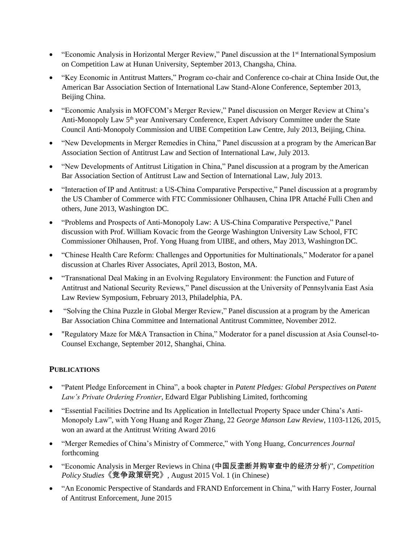- "Economic Analysis in Horizontal Merger Review," Panel discussion at the 1<sup>st</sup> International Symposium on Competition Law at Hunan University, September 2013, Changsha, China.
- "Key Economic in Antitrust Matters," Program co-chair and Conference co-chair at China Inside Out,the American Bar Association Section of International Law Stand-Alone Conference, September 2013, Beijing China.
- "Economic Analysis in MOFCOM's Merger Review," Panel discussion on Merger Review at China's Anti-Monopoly Law 5<sup>th</sup> year Anniversary Conference, Expert Advisory Committee under the State Council Anti‐Monopoly Commission and UIBE Competition Law Centre, July 2013, Beijing, China.
- "New Developments in Merger Remedies in China," Panel discussion at a program by the AmericanBar Association Section of Antitrust Law and Section of International Law, July 2013.
- "New Developments of Antitrust Litigation in China," Panel discussion at a program by the American Bar Association Section of Antitrust Law and Section of International Law, July 2013.
- "Interaction of IP and Antitrust: a US-China Comparative Perspective," Panel discussion at a programby the US Chamber of Commerce with FTC Commissioner Ohlhausen, China IPR Attaché Fulli Chen and others, June 2013, Washington DC.
- "Problems and Prospects of Anti-Monopoly Law: A US-China Comparative Perspective," Panel discussion with Prof. William Kovacic from the George Washington University Law School, FTC Commissioner Ohlhausen, Prof. Yong Huang from UIBE, and others, May 2013, Washington DC.
- "Chinese Health Care Reform: Challenges and Opportunities for Multinationals," Moderator for apanel discussion at Charles River Associates, April 2013, Boston, MA.
- "Transnational Deal Making in an Evolving Regulatory Environment: the Function and Future of Antitrust and National Security Reviews," Panel discussion at the University of Pennsylvania East Asia Law Review Symposium, February 2013, Philadelphia, PA.
- "Solving the China Puzzle in Global Merger Review," Panel discussion at a program by the American Bar Association China Committee and International Antitrust Committee, November 2012.
- "Regulatory Maze for M&A Transaction in China," Moderator for a panel discussion at Asia Counsel-to-Counsel Exchange, September 2012, Shanghai, China.

## **PUBLICATIONS**

- "Patent Pledge Enforcement in China", a book chapter in *Patent Pledges: Global Perspectives onPatent Law's Private Ordering Frontier*, Edward Elgar Publishing Limited, forthcoming
- "Essential Facilities Doctrine and Its Application in Intellectual Property Space under China's Anti-Monopoly Law", with Yong Huang and Roger Zhang, 22 *George Manson Law Review*, 1103-1126, 2015, won an award at the Antitrust Writing Award 2016
- "Merger Remedies of China's Ministry of Commerce," with Yong Huang, *Concurrences Journal* forthcoming
- "Economic Analysis in Merger Reviews in China (中国反垄断并购审查中的经济分析)", *Competition Policy Studies*《竞争政策研究》*,* August 2015 Vol. 1 (in Chinese)
- "An Economic Perspective of Standards and FRAND Enforcement in China," with Harry Foster, Journal of Antitrust Enforcement, June 2015